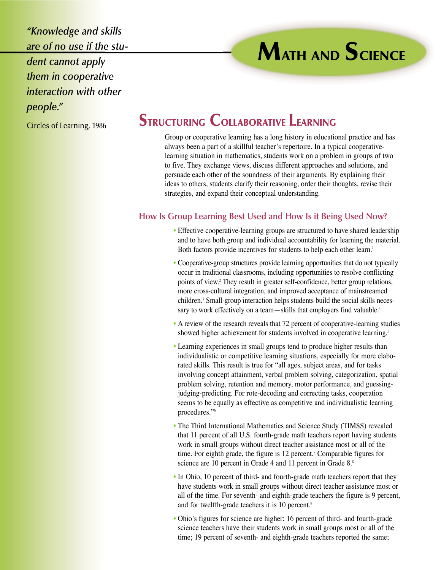*"Knowledge and skills are of no use if the student cannot apply them in cooperative interaction with other people."*

Circles of Learning, 1986

# **STRUCTURING COLLABORATIVE LEARNING**

Group or cooperative learning has a long history in educational practice and has always been a part of a skillful teacher's repertoire. In a typical cooperativelearning situation in mathematics, students work on a problem in groups of two to five. They exchange views, discuss different approaches and solutions, and persuade each other of the soundness of their arguments. By explaining their ideas to others, students clarify their reasoning, order their thoughts, revise their strategies, and expand their conceptual understanding.

**MATH AND SCIENCE**

## **How Is Group Learning Best Used and How Is it Being Used Now?**

- Effective cooperative-learning groups are structured to have shared leadership and to have both group and individual accountability for learning the material. Both factors provide incentives for students to help each other learn.<sup>1</sup>
- Cooperative-group structures provide learning opportunities that do not typically occur in traditional classrooms, including opportunities to resolve conflicting points of view.2 They result in greater self-confidence, better group relations, more cross-cultural integration, and improved acceptance of mainstreamed children.3 Small-group interaction helps students build the social skills necessary to work effectively on a team—skills that employers find valuable.<sup>4</sup>
- A review of the research reveals that 72 percent of cooperative-learning studies showed higher achievement for students involved in cooperative learning.<sup>5</sup>
- Learning experiences in small groups tend to produce higher results than individualistic or competitive learning situations, especially for more elaborated skills. This result is true for "all ages, subject areas, and for tasks involving concept attainment, verbal problem solving, categorization, spatial problem solving, retention and memory, motor performance, and guessingjudging-predicting. For rote-decoding and correcting tasks, cooperation seems to be equally as effective as competitive and individualistic learning procedures."6
- The Third International Mathematics and Science Study (TIMSS) revealed that 11 percent of all U.S. fourth-grade math teachers report having students work in small groups without direct teacher assistance most or all of the time. For eighth grade, the figure is 12 percent.<sup>7</sup> Comparable figures for science are 10 percent in Grade 4 and 11 percent in Grade 8.<sup>8</sup>
- In Ohio, 10 percent of third- and fourth-grade math teachers report that they have students work in small groups without direct teacher assistance most or all of the time. For seventh- and eighth-grade teachers the figure is 9 percent, and for twelfth-grade teachers it is 10 percent.<sup>9</sup>
- Ohio's figures for science are higher: 16 percent of third- and fourth-grade science teachers have their students work in small groups most or all of the time; 19 percent of seventh- and eighth-grade teachers reported the same;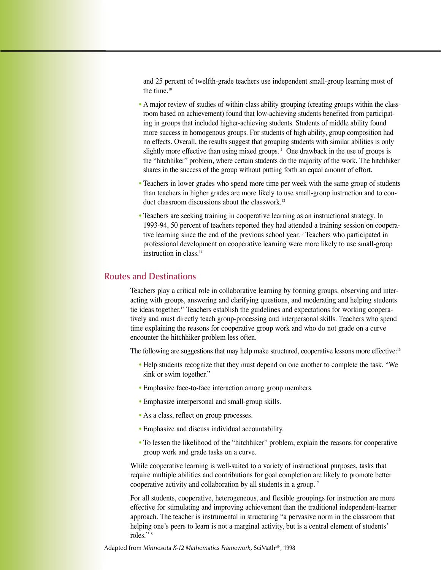and 25 percent of twelfth-grade teachers use independent small-group learning most of the time.<sup>10</sup>

- A major review of studies of within-class ability grouping (creating groups within the classroom based on achievement) found that low-achieving students benefited from participating in groups that included higher-achieving students. Students of middle ability found more success in homogenous groups. For students of high ability, group composition had no effects. Overall, the results suggest that grouping students with similar abilities is only slightly more effective than using mixed groups.<sup>11</sup> One drawback in the use of groups is the "hitchhiker" problem, where certain students do the majority of the work. The hitchhiker shares in the success of the group without putting forth an equal amount of effort.
- Teachers in lower grades who spend more time per week with the same group of students than teachers in higher grades are more likely to use small-group instruction and to conduct classroom discussions about the classwork.<sup>12</sup>
- Teachers are seeking training in cooperative learning as an instructional strategy. In 1993-94, 50 percent of teachers reported they had attended a training session on cooperative learning since the end of the previous school year.13 Teachers who participated in professional development on cooperative learning were more likely to use small-group instruction in class.14

### **Routes and Destinations**

Teachers play a critical role in collaborative learning by forming groups, observing and interacting with groups, answering and clarifying questions, and moderating and helping students tie ideas together.15 Teachers establish the guidelines and expectations for working cooperatively and must directly teach group-processing and interpersonal skills. Teachers who spend time explaining the reasons for cooperative group work and who do not grade on a curve encounter the hitchhiker problem less often.

The following are suggestions that may help make structured, cooperative lessons more effective:<sup>16</sup>

- Help students recognize that they must depend on one another to complete the task. "We sink or swim together."
- Emphasize face-to-face interaction among group members.
- Emphasize interpersonal and small-group skills.
- As a class, reflect on group processes.
- Emphasize and discuss individual accountability.
- To lessen the likelihood of the "hitchhiker" problem, explain the reasons for cooperative group work and grade tasks on a curve.

While cooperative learning is well-suited to a variety of instructional purposes, tasks that require multiple abilities and contributions for goal completion are likely to promote better cooperative activity and collaboration by all students in a group.17

For all students, cooperative, heterogeneous, and flexible groupings for instruction are more effective for stimulating and improving achievement than the traditional independent-learner approach. The teacher is instrumental in structuring "a pervasive norm in the classroom that helping one's peers to learn is not a marginal activity, but is a central element of students' roles."18